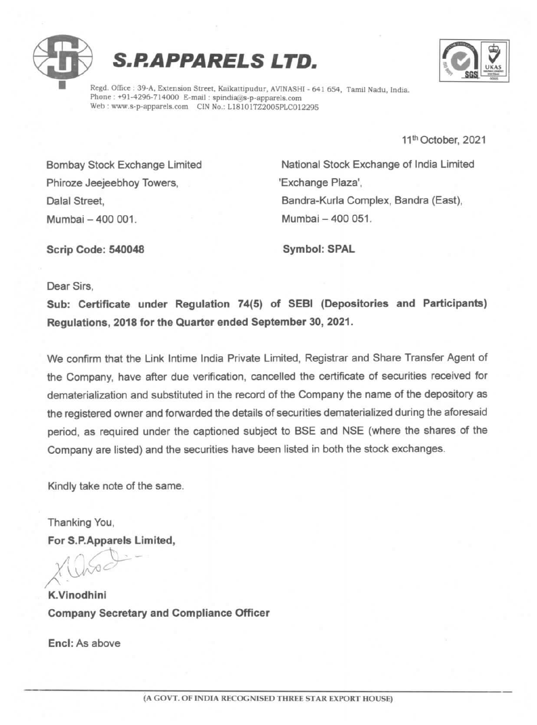



Regd. Office : 39-A, Extension Street, Kaikattipudur, AVINASHI - 641 654, Tamil Nadu, India. Phone : +91-4296-714000 E-mail : spindia@s-p-apparels.com Web : www.s-p-apparels.com CIN No.: L18101TZ2005PLC012295

11" October, 2021

Phiroze Jeejeebhoy Towers, The Million Communication of "Exchange Plaza', Mumbai -400 001. Mumbai -400 051.

Bombay Stock Exchange Limited National Stock Exchange of india Limited Dalal Street, **Bandra-Kurla Complex, Bandra (East)**,

Scrip Code: 540048 Symbol: SPAL

Dear Sirs,

Sub: Certificate under Regulation 74(5) of SEBI (Depositories and Participants) Regulations, 2018 for the Quarter ended September 30, 2021.

We confirm that the Link Intime India Private Limited, Registrar and Share Transfer Agent of the Company, have after due verification, cancelled the certificate of securities received for dematerialization and substituted in the record of the Company the name of the depository as the registered owner and forwarded the details of securities dematerialized during the aforesaid period, as required under the captioned subject to BSE and NSE (where the shares of the Company are listed) and the securities have been listed in both the stock exchanges.

Kindly take note of the same.

Thanking You, For S.P.Apparels Limited,

K.Vinodhini Company Secretary and Compliance Officer

Encl: As above